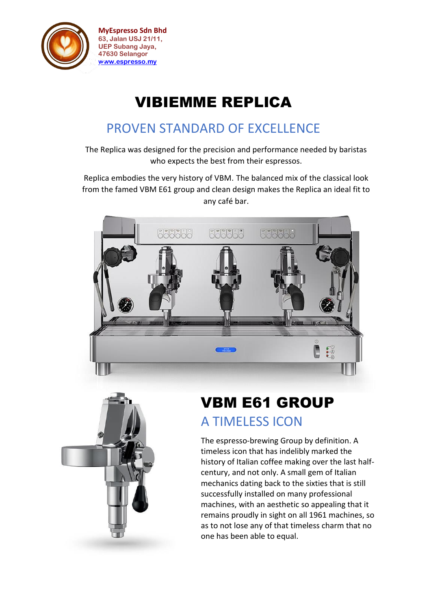

**MyEspresso Sdn Bhd 63, Jalan USJ 21/11, UEP Subang Jaya, 47630 Selangor [www.espresso.my](http://www.espresso.my/)**

# VIBIEMME REPLICA

#### PROVEN STANDARD OF EXCELLENCE

The Replica was designed for the precision and performance needed by baristas who expects the best from their espressos.

Replica embodies the very history of VBM. The balanced mix of the classical look from the famed VBM E61 group and clean design makes the Replica an ideal fit to any café bar.





# VBM E61 GROUP A TIMELESS ICON

The espresso-brewing Group by definition. A timeless icon that has indelibly marked the history of Italian coffee making over the last halfcentury, and not only. A small gem of Italian mechanics dating back to the sixties that is still successfully installed on many professional machines, with an aesthetic so appealing that it remains proudly in sight on all 1961 machines, so as to not lose any of that timeless charm that no one has been able to equal.